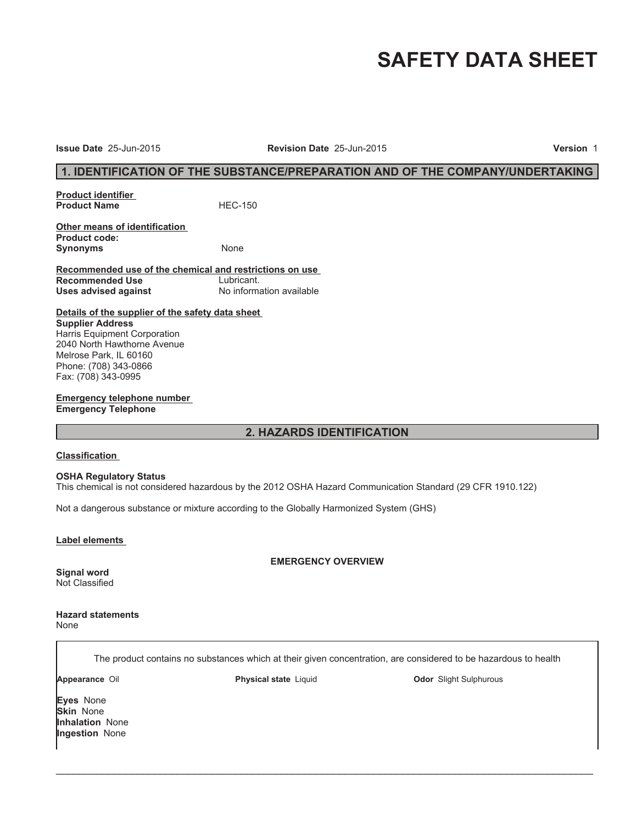# **SAFETY DATA SHEET**

**Issue Date** 25-Jun-2015 **Revision Date** 25-Jun-2015 **Version** 1

# **1. IDENTIFICATION OF THE SUBSTANCE/PREPARATION AND OF THE COMPANY/UNDERTAKING**

**Product identifier Product Name** HEC-150

**Other means of identification Product code:** Synonyms None

**Recommended use of the chemical and restrictions on use Recommended Use** Lubricant.<br> **Uses advised against** Mo information available **Uses advised against** 

**Details of the supplier of the safety data sheet Supplier Address** Harris Equipment Corporation 2040 North Hawthorne Avenue Melrose Park, IL 60160 Phone: (708) 343-0866 Fax: (708) 343-0995

**Emergency telephone number Emergency Telephone**

# **2. HAZARDS IDENTIFICATION**

#### **Classification**

#### **OSHA Regulatory Status**

This chemical is not considered hazardous by the 2012 OSHA Hazard Communication Standard (29 CFR 1910.122)

Not a dangerous substance or mixture according to the Globally Harmonized System (GHS)

**Label elements** 

**EMERGENCY OVERVIEW**

**Signal word** Not Classified

**Hazard statements** None

The product contains no substances which at their given concentration, are considered to be hazardous to health

 $\_$  ,  $\_$  ,  $\_$  ,  $\_$  ,  $\_$  ,  $\_$  ,  $\_$  ,  $\_$  ,  $\_$  ,  $\_$  ,  $\_$  ,  $\_$  ,  $\_$  ,  $\_$  ,  $\_$  ,  $\_$  ,  $\_$  ,  $\_$  ,  $\_$  ,  $\_$  ,  $\_$  ,  $\_$  ,  $\_$  ,  $\_$  ,  $\_$  ,  $\_$  ,  $\_$  ,  $\_$  ,  $\_$  ,  $\_$  ,  $\_$  ,  $\_$  ,  $\_$  ,  $\_$  ,  $\_$  ,  $\_$  ,  $\_$  ,

**Appearance** Oil **Physical state** Liquid **Odor** Slight Sulphurous

**Eyes** None **Skin** None **Inhalation** None **Ingestion** None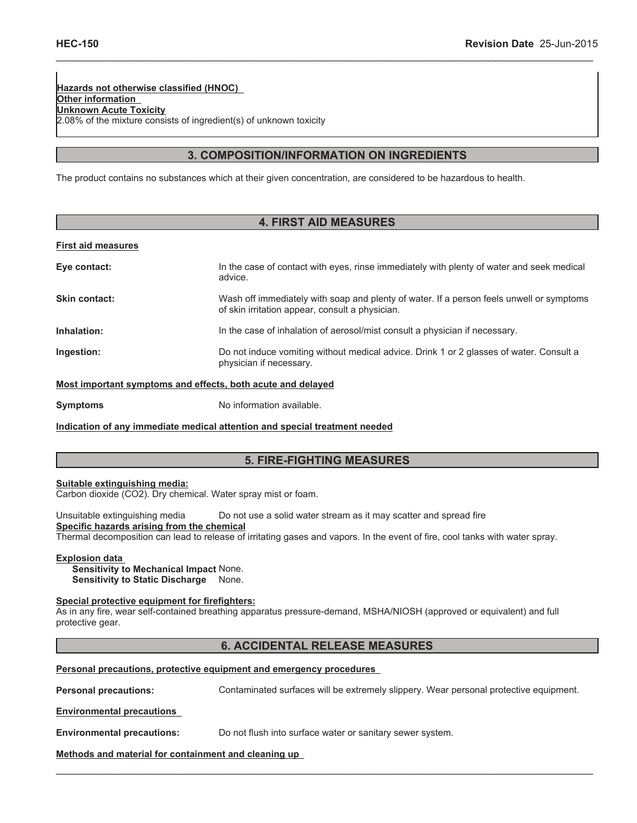**Hazards not otherwise classified (HNOC) Other information Unknown Acute Toxicity** 2.08% of the mixture consists of ingredient(s) of unknown toxicity

# **3. COMPOSITION/INFORMATION ON INGREDIENTS**

\_\_\_\_\_\_\_\_\_\_\_\_\_\_\_\_\_\_\_\_\_\_\_\_\_\_\_\_\_\_\_\_\_\_\_\_\_\_\_\_\_\_\_\_\_\_\_\_\_\_\_\_\_\_\_\_\_\_\_\_\_\_\_\_\_\_\_\_\_\_\_\_\_\_\_\_\_\_\_\_\_\_\_\_\_\_\_\_\_\_\_\_\_

The product contains no substances which at their given concentration, are considered to be hazardous to health.

| <b>4. FIRST AID MEASURES</b> |                                                                                                                                             |  |  |
|------------------------------|---------------------------------------------------------------------------------------------------------------------------------------------|--|--|
| <b>First aid measures</b>    |                                                                                                                                             |  |  |
| Eye contact:                 | In the case of contact with eyes, rinse immediately with plenty of water and seek medical<br>advice.                                        |  |  |
| Skin contact:                | Wash off immediately with soap and plenty of water. If a person feels unwell or symptoms<br>of skin irritation appear, consult a physician. |  |  |
| Inhalation:                  | In the case of inhalation of aerosol/mist consult a physician if necessary.                                                                 |  |  |
| Ingestion:                   | Do not induce vomiting without medical advice. Drink 1 or 2 glasses of water. Consult a<br>physician if necessary.                          |  |  |
|                              | Meet imperient cumpteme and effects heth ceute and deloved                                                                                  |  |  |

**Most important symptoms and effects, both acute and delayed**

**Symptoms** No information available.

**Indication of any immediate medical attention and special treatment needed**

# **5. FIRE-FIGHTING MEASURES**

**Suitable extinguishing media:**

Carbon dioxide (CO2). Dry chemical. Water spray mist or foam.

Unsuitable extinguishing media Do not use a solid water stream as it may scatter and spread fire **Specific hazards arising from the chemical** Thermal decomposition can lead to release of irritating gases and vapors. In the event of fire, cool tanks with water spray.

#### **Explosion data**

**Sensitivity to Mechanical Impact** None. **Sensitivity to Static Discharge** None.

#### **Special protective equipment for firefighters:**

As in any fire, wear self-contained breathing apparatus pressure-demand, MSHA/NIOSH (approved or equivalent) and full protective gear.

# **6. ACCIDENTAL RELEASE MEASURES**

 $\_$  , and the contribution of the contribution of the contribution of the contribution of  $\mathcal{L}_\text{max}$ 

|  |  |  | Personal precautions, protective equipment and emergency procedures |
|--|--|--|---------------------------------------------------------------------|
|  |  |  |                                                                     |

**Personal precautions:** Contaminated surfaces will be extremely slippery. Wear personal protective equipment.

**Environmental precautions**

**Environmental precautions:** Do not flush into surface water or sanitary sewer system.

**Methods and material for containment and cleaning up**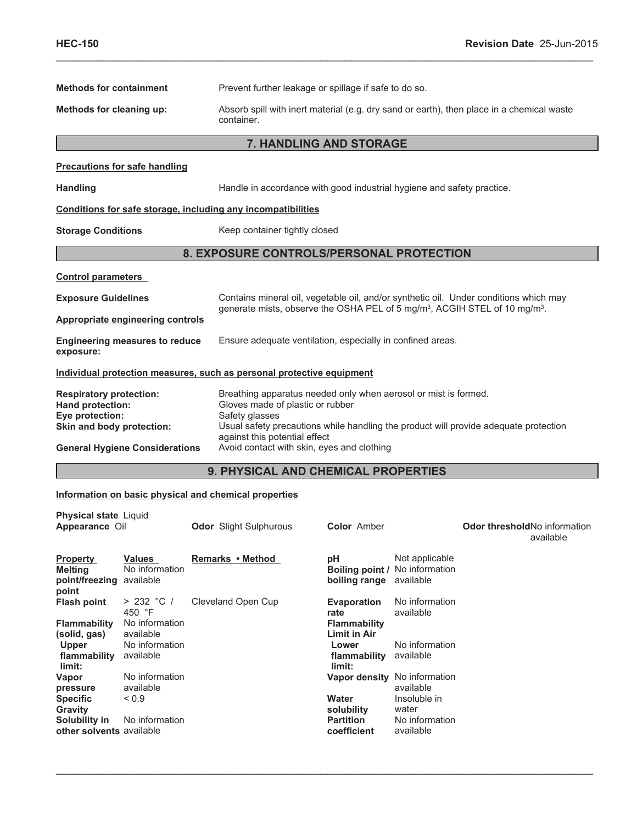| <b>Methods for containment</b>                                                                                                              |                                                                                    |  | Prevent further leakage or spillage if safe to do so.                                                                                                                                                                                                                                        |                                                                                                      |                                                                                                   |                                                                                       |
|---------------------------------------------------------------------------------------------------------------------------------------------|------------------------------------------------------------------------------------|--|----------------------------------------------------------------------------------------------------------------------------------------------------------------------------------------------------------------------------------------------------------------------------------------------|------------------------------------------------------------------------------------------------------|---------------------------------------------------------------------------------------------------|---------------------------------------------------------------------------------------|
| Absorb spill with inert material (e.g. dry sand or earth), then place in a chemical waste<br>Methods for cleaning up:<br>container.         |                                                                                    |  |                                                                                                                                                                                                                                                                                              |                                                                                                      |                                                                                                   |                                                                                       |
|                                                                                                                                             |                                                                                    |  | 7. HANDLING AND STORAGE                                                                                                                                                                                                                                                                      |                                                                                                      |                                                                                                   |                                                                                       |
|                                                                                                                                             | <b>Precautions for safe handling</b>                                               |  |                                                                                                                                                                                                                                                                                              |                                                                                                      |                                                                                                   |                                                                                       |
| <b>Handling</b>                                                                                                                             |                                                                                    |  | Handle in accordance with good industrial hygiene and safety practice.                                                                                                                                                                                                                       |                                                                                                      |                                                                                                   |                                                                                       |
|                                                                                                                                             |                                                                                    |  | Conditions for safe storage, including any incompatibilities                                                                                                                                                                                                                                 |                                                                                                      |                                                                                                   |                                                                                       |
| <b>Storage Conditions</b>                                                                                                                   |                                                                                    |  | Keep container tightly closed                                                                                                                                                                                                                                                                |                                                                                                      |                                                                                                   |                                                                                       |
|                                                                                                                                             |                                                                                    |  | 8. EXPOSURE CONTROLS/PERSONAL PROTECTION                                                                                                                                                                                                                                                     |                                                                                                      |                                                                                                   |                                                                                       |
| <b>Control parameters</b>                                                                                                                   |                                                                                    |  |                                                                                                                                                                                                                                                                                              |                                                                                                      |                                                                                                   |                                                                                       |
| <b>Exposure Guidelines</b>                                                                                                                  |                                                                                    |  |                                                                                                                                                                                                                                                                                              |                                                                                                      |                                                                                                   | Contains mineral oil, vegetable oil, and/or synthetic oil. Under conditions which may |
|                                                                                                                                             | <b>Appropriate engineering controls</b>                                            |  | generate mists, observe the OSHA PEL of 5 mg/m <sup>3</sup> , ACGIH STEL of 10 mg/m <sup>3</sup> .                                                                                                                                                                                           |                                                                                                      |                                                                                                   |                                                                                       |
| <b>Engineering measures to reduce</b><br>exposure:                                                                                          |                                                                                    |  | Ensure adequate ventilation, especially in confined areas.                                                                                                                                                                                                                                   |                                                                                                      |                                                                                                   |                                                                                       |
|                                                                                                                                             |                                                                                    |  | Individual protection measures, such as personal protective equipment                                                                                                                                                                                                                        |                                                                                                      |                                                                                                   |                                                                                       |
| <b>Respiratory protection:</b><br>Hand protection:<br>Eye protection:<br>Skin and body protection:<br><b>General Hygiene Considerations</b> |                                                                                    |  | Breathing apparatus needed only when aerosol or mist is formed.<br>Gloves made of plastic or rubber<br>Safety glasses<br>Usual safety precautions while handling the product will provide adequate protection<br>against this potential effect<br>Avoid contact with skin, eyes and clothing |                                                                                                      |                                                                                                   |                                                                                       |
|                                                                                                                                             |                                                                                    |  | 9. PHYSICAL AND CHEMICAL PROPERTIES                                                                                                                                                                                                                                                          |                                                                                                      |                                                                                                   |                                                                                       |
|                                                                                                                                             |                                                                                    |  | Information on basic physical and chemical properties                                                                                                                                                                                                                                        |                                                                                                      |                                                                                                   |                                                                                       |
| <b>Physical state Liquid</b><br>Appearance Oil                                                                                              |                                                                                    |  | <b>Odor</b> Slight Sulphurous                                                                                                                                                                                                                                                                | <b>Color</b> Amber                                                                                   |                                                                                                   | Odor thresholdNo information<br>available                                             |
| <b>Property</b><br><b>Melting</b><br>point/freezing<br>point                                                                                | Values<br>No information<br>available                                              |  | Remarks • Method                                                                                                                                                                                                                                                                             | рH<br>boiling range                                                                                  | Not applicable<br><b>Boiling point / No information</b><br>available                              |                                                                                       |
| <b>Flash point</b><br><b>Flammability</b><br>(solid, gas)<br><b>Upper</b><br>flammability<br>limit:                                         | > 232 °C /<br>450 °F<br>No information<br>available<br>No information<br>available |  | Cleveland Open Cup                                                                                                                                                                                                                                                                           | Evaporation<br>rate<br><b>Flammability</b><br><b>Limit in Air</b><br>Lower<br>flammability<br>limit: | No information<br>available<br>No information<br>available                                        |                                                                                       |
| Vapor<br>pressure<br><b>Specific</b><br>Gravity<br>Solubility in<br>other solvents available                                                | No information<br>available<br>${}_{0.9}$<br>No information                        |  |                                                                                                                                                                                                                                                                                              | Water<br>solubility<br><b>Partition</b><br>coefficient                                               | Vapor density No information<br>available<br>Insoluble in<br>water<br>No information<br>available |                                                                                       |

 $\_$  , and the contribution of the contribution of the contribution of the contribution of  $\mathcal{L}_\text{max}$ 

\_\_\_\_\_\_\_\_\_\_\_\_\_\_\_\_\_\_\_\_\_\_\_\_\_\_\_\_\_\_\_\_\_\_\_\_\_\_\_\_\_\_\_\_\_\_\_\_\_\_\_\_\_\_\_\_\_\_\_\_\_\_\_\_\_\_\_\_\_\_\_\_\_\_\_\_\_\_\_\_\_\_\_\_\_\_\_\_\_\_\_\_\_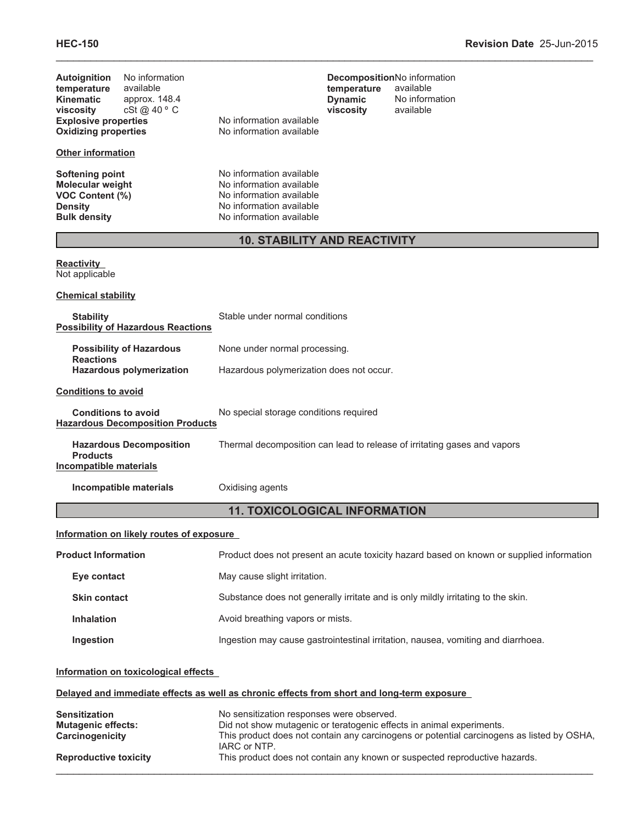| No information<br><b>Autoignition</b><br>temperature<br>available<br><b>Kinematic</b><br>approx. 148.4<br>cSt@40°C<br>viscosity<br><b>Explosive properties</b><br><b>Oxidizing properties</b> | No information available<br>No information available                                                                                     | DecompositionNo information<br>temperature<br>available<br><b>Dynamic</b><br>No information<br>available<br>viscosity                                             |  |
|-----------------------------------------------------------------------------------------------------------------------------------------------------------------------------------------------|------------------------------------------------------------------------------------------------------------------------------------------|-------------------------------------------------------------------------------------------------------------------------------------------------------------------|--|
| <b>Other information</b>                                                                                                                                                                      |                                                                                                                                          |                                                                                                                                                                   |  |
| <b>Softening point</b><br><b>Molecular weight</b><br>VOC Content (%)<br><b>Density</b><br><b>Bulk density</b>                                                                                 | No information available<br>No information available<br>No information available<br>No information available<br>No information available |                                                                                                                                                                   |  |
|                                                                                                                                                                                               |                                                                                                                                          | <b>10. STABILITY AND REACTIVITY</b>                                                                                                                               |  |
| <b>Reactivity</b><br>Not applicable                                                                                                                                                           |                                                                                                                                          |                                                                                                                                                                   |  |
| <b>Chemical stability</b>                                                                                                                                                                     |                                                                                                                                          |                                                                                                                                                                   |  |
| <b>Stability</b><br><b>Possibility of Hazardous Reactions</b>                                                                                                                                 | Stable under normal conditions                                                                                                           |                                                                                                                                                                   |  |
| <b>Possibility of Hazardous</b><br><b>Reactions</b>                                                                                                                                           | None under normal processing.                                                                                                            |                                                                                                                                                                   |  |
| <b>Hazardous polymerization</b><br>Hazardous polymerization does not occur.                                                                                                                   |                                                                                                                                          |                                                                                                                                                                   |  |
| <b>Conditions to avoid</b>                                                                                                                                                                    |                                                                                                                                          |                                                                                                                                                                   |  |
| <b>Conditions to avoid</b><br><b>Hazardous Decomposition Products</b>                                                                                                                         | No special storage conditions required                                                                                                   |                                                                                                                                                                   |  |
| <b>Hazardous Decomposition</b><br><b>Products</b><br><b>Incompatible materials</b>                                                                                                            | Thermal decomposition can lead to release of irritating gases and vapors                                                                 |                                                                                                                                                                   |  |
| Incompatible materials                                                                                                                                                                        | Oxidising agents                                                                                                                         |                                                                                                                                                                   |  |
|                                                                                                                                                                                               |                                                                                                                                          | <b>11. TOXICOLOGICAL INFORMATION</b>                                                                                                                              |  |
| Information on likely routes of exposure                                                                                                                                                      |                                                                                                                                          |                                                                                                                                                                   |  |
| <b>Product Information</b>                                                                                                                                                                    |                                                                                                                                          | Product does not present an acute toxicity hazard based on known or supplied information                                                                          |  |
| Eye contact                                                                                                                                                                                   | May cause slight irritation.                                                                                                             |                                                                                                                                                                   |  |
| <b>Skin contact</b>                                                                                                                                                                           |                                                                                                                                          | Substance does not generally irritate and is only mildly irritating to the skin.                                                                                  |  |
| <b>Inhalation</b>                                                                                                                                                                             | Avoid breathing vapors or mists.                                                                                                         |                                                                                                                                                                   |  |
| Ingestion                                                                                                                                                                                     | Ingestion may cause gastrointestinal irritation, nausea, vomiting and diarrhoea.                                                         |                                                                                                                                                                   |  |
| Information on toxicological effects                                                                                                                                                          |                                                                                                                                          |                                                                                                                                                                   |  |
| Delayed and immediate effects as well as chronic effects from short and long-term exposure                                                                                                    |                                                                                                                                          |                                                                                                                                                                   |  |
| <b>Sensitization</b><br><b>Mutagenic effects:</b><br>Carcinogenicity                                                                                                                          | No sensitization responses were observed.<br>IARC or NTP.                                                                                | Did not show mutagenic or teratogenic effects in animal experiments.<br>This product does not contain any carcinogens or potential carcinogens as listed by OSHA, |  |
| <b>Reproductive toxicity</b>                                                                                                                                                                  |                                                                                                                                          | This product does not contain any known or suspected reproductive hazards.                                                                                        |  |

\_\_\_\_\_\_\_\_\_\_\_\_\_\_\_\_\_\_\_\_\_\_\_\_\_\_\_\_\_\_\_\_\_\_\_\_\_\_\_\_\_\_\_\_\_\_\_\_\_\_\_\_\_\_\_\_\_\_\_\_\_\_\_\_\_\_\_\_\_\_\_\_\_\_\_\_\_\_\_\_\_\_\_\_\_\_\_\_\_\_\_\_\_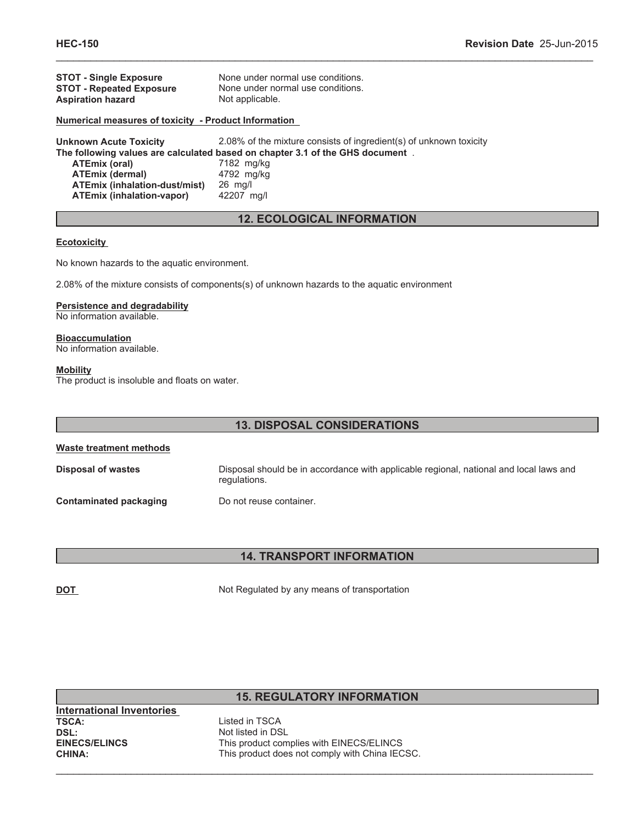| <b>STOT - Single Exposure</b>                        | None under normal use conditions.                                             |
|------------------------------------------------------|-------------------------------------------------------------------------------|
| <b>STOT - Repeated Exposure</b>                      | None under normal use conditions.                                             |
| <b>Aspiration hazard</b>                             | Not applicable.                                                               |
| Numerical measures of toxicity - Product Information |                                                                               |
| <b>Unknown Acute Toxicity</b>                        | 2.08% of the mixture consists of ingredient(s) of unknown toxicity            |
|                                                      | The following values are calculated based on chapter 3.1 of the GHS document. |
| ATEmix (oral)                                        | 7182 mg/kg                                                                    |
| <b>ATEmix (dermal)</b>                               | 4792 mg/kg                                                                    |
| <b>ATEmix (inhalation-dust/mist)</b>                 | $26$ mg/                                                                      |

# **12. ECOLOGICAL INFORMATION**

\_\_\_\_\_\_\_\_\_\_\_\_\_\_\_\_\_\_\_\_\_\_\_\_\_\_\_\_\_\_\_\_\_\_\_\_\_\_\_\_\_\_\_\_\_\_\_\_\_\_\_\_\_\_\_\_\_\_\_\_\_\_\_\_\_\_\_\_\_\_\_\_\_\_\_\_\_\_\_\_\_\_\_\_\_\_\_\_\_\_\_\_\_

#### **Ecotoxicity**

No known hazards to the aquatic environment.

**ATEmix (inhalation-vapor)** 42207 mg/l

2.08% of the mixture consists of components(s) of unknown hazards to the aquatic environment

#### **Persistence and degradability**

No information available.

# **Bioaccumulation**

No information available.

#### **Mobility**

The product is insoluble and floats on water.

| <b>13. DISPOSAL CONSIDERATIONS</b> |                                                                                                        |  |  |
|------------------------------------|--------------------------------------------------------------------------------------------------------|--|--|
| Waste treatment methods            |                                                                                                        |  |  |
| Disposal of wastes                 | Disposal should be in accordance with applicable regional, national and local laws and<br>regulations. |  |  |
| Contaminated packaging             | Do not reuse container.                                                                                |  |  |

# **14. TRANSPORT INFORMATION**

**DOT** Not Regulated by any means of transportation

# **15. REGULATORY INFORMATION**

**International Inventories DSL:**<br> **EINECS/ELINCS**<br> **EINECS/ELINCS**<br> **EINECS/ELINCS** 

**TSCA:** Listed in TSCA This product complies with EINECS/ELINCS **CHINA:** This product does not comply with China IECSC.

 $\_$  , and the contribution of the contribution of the contribution of the contribution of  $\mathcal{L}_\text{max}$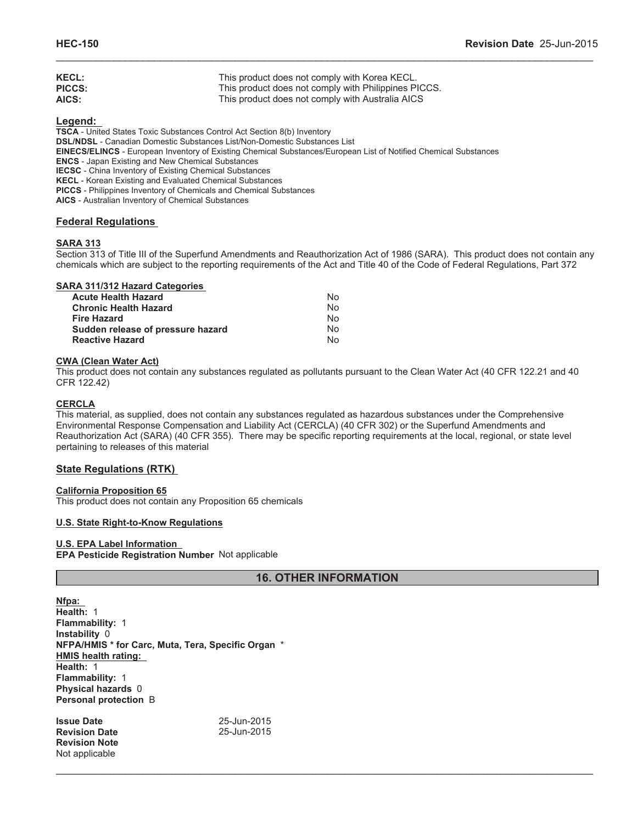| <b>KECL:</b>  | This product does not comply with Korea KECL.        |
|---------------|------------------------------------------------------|
| <b>PICCS:</b> | This product does not comply with Philippines PICCS. |
| AICS:         | This product does not comply with Australia AICS     |

**Legend:**

**TSCA** - United States Toxic Substances Control Act Section 8(b) Inventory **DSL/NDSL** - Canadian Domestic Substances List/Non-Domestic Substances List **EINECS/ELINCS** - European Inventory of Existing Chemical Substances/European List of Notified Chemical Substances **ENCS** - Japan Existing and New Chemical Substances **IECSC** - China Inventory of Existing Chemical Substances **KECL** - Korean Existing and Evaluated Chemical Substances **PICCS** - Philippines Inventory of Chemicals and Chemical Substances **AICS** - Australian Inventory of Chemical Substances

# **Federal Regulations**

# **SARA 313**

Section 313 of Title III of the Superfund Amendments and Reauthorization Act of 1986 (SARA). This product does not contain any chemicals which are subject to the reporting requirements of the Act and Title 40 of the Code of Federal Regulations, Part 372

\_\_\_\_\_\_\_\_\_\_\_\_\_\_\_\_\_\_\_\_\_\_\_\_\_\_\_\_\_\_\_\_\_\_\_\_\_\_\_\_\_\_\_\_\_\_\_\_\_\_\_\_\_\_\_\_\_\_\_\_\_\_\_\_\_\_\_\_\_\_\_\_\_\_\_\_\_\_\_\_\_\_\_\_\_\_\_\_\_\_\_\_\_

# **SARA 311/312 Hazard Categories**

| Acute Health Hazard               | Nο |
|-----------------------------------|----|
| <b>Chronic Health Hazard</b>      | Nο |
| Fire Hazard                       | No |
| Sudden release of pressure hazard | Nο |
| <b>Reactive Hazard</b>            | N٥ |

#### **CWA (Clean Water Act)**

This product does not contain any substances regulated as pollutants pursuant to the Clean Water Act (40 CFR 122.21 and 40 CFR 122.42)

# **CERCLA**

This material, as supplied, does not contain any substances regulated as hazardous substances under the Comprehensive Environmental Response Compensation and Liability Act (CERCLA) (40 CFR 302) or the Superfund Amendments and Reauthorization Act (SARA) (40 CFR 355). There may be specific reporting requirements at the local, regional, or state level pertaining to releases of this material

# **State Regulations (RTK)**

# **California Proposition 65**

This product does not contain any Proposition 65 chemicals

# **U.S. State Right-to-Know Regulations**

# **U.S. EPA Label Information**

**EPA Pesticide Registration Number** Not applicable

# **16. OTHER INFORMATION**

 $\_$  , and the contribution of the contribution of the contribution of the contribution of  $\mathcal{L}_\text{max}$ 

**Nfpa: Health:** 1 **Flammability:** 1 **Instability** 0 **NFPA/HMIS \* for Carc, Muta, Tera, Specific Organ** \* **HMIS health rating: Health:** 1 **Flammability:** 1 **Physical hazards** 0 **Personal protection** B

**Issue Date** 25-Jun-2015 **Revision Date Revision Note** Not applicable

25-Jun-2015